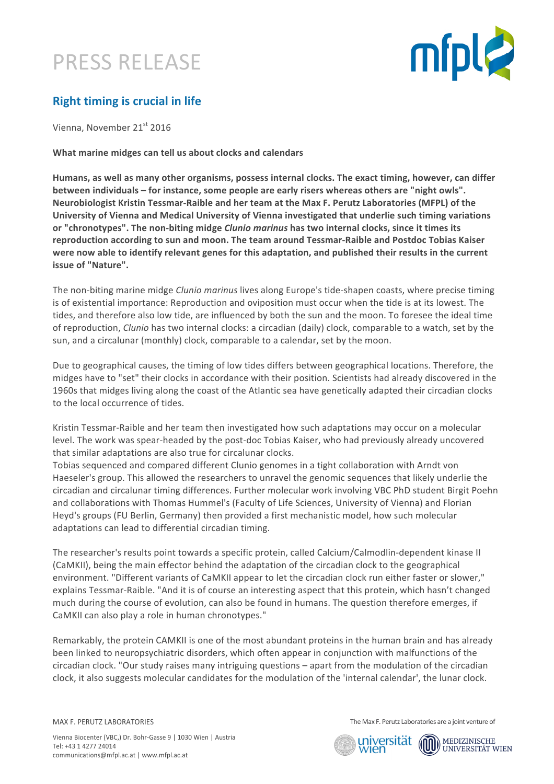## PRESS RELEASE



### **Right timing is crucial in life**

Vienna, November 21st 2016

**What marine midges can tell us about clocks and calendars** 

Humans, as well as many other organisms, possess internal clocks. The exact timing, however, can differ **between individuals** – for instance, some people are early risers whereas others are "night owls". **Neurobiologist Kristin Tessmar-Raible and her team at the Max F. Perutz Laboratories (MFPL) of the** University of Vienna and Medical University of Vienna investigated that underlie such timing variations or "chronotypes". The non-biting midge *Clunio marinus* has two internal clocks, since it times its reproduction according to sun and moon. The team around Tessmar-Raible and Postdoc Tobias Kaiser were now able to identify relevant genes for this adaptation, and published their results in the current **issue of "Nature".** 

The non-biting marine midge *Clunio marinus* lives along Europe's tide-shapen coasts, where precise timing is of existential importance: Reproduction and oviposition must occur when the tide is at its lowest. The tides, and therefore also low tide, are influenced by both the sun and the moon. To foresee the ideal time of reproduction, *Clunio* has two internal clocks: a circadian (daily) clock, comparable to a watch, set by the sun, and a circalunar (monthly) clock, comparable to a calendar, set by the moon.

Due to geographical causes, the timing of low tides differs between geographical locations. Therefore, the midges have to "set" their clocks in accordance with their position. Scientists had already discovered in the 1960s that midges living along the coast of the Atlantic sea have genetically adapted their circadian clocks to the local occurrence of tides.

Kristin Tessmar-Raible and her team then investigated how such adaptations may occur on a molecular level. The work was spear-headed by the post-doc Tobias Kaiser, who had previously already uncovered that similar adaptations are also true for circalunar clocks.

Tobias sequenced and compared different Clunio genomes in a tight collaboration with Arndt von Haeseler's group. This allowed the researchers to unravel the genomic sequences that likely underlie the circadian and circalunar timing differences. Further molecular work involving VBC PhD student Birgit Poehn and collaborations with Thomas Hummel's (Faculty of Life Sciences, University of Vienna) and Florian Heyd's groups (FU Berlin, Germany) then provided a first mechanistic model, how such molecular adaptations can lead to differential circadian timing.

The researcher's results point towards a specific protein, called Calcium/Calmodlin-dependent kinase II (CaMKII), being the main effector behind the adaptation of the circadian clock to the geographical environment. "Different variants of CaMKII appear to let the circadian clock run either faster or slower." explains Tessmar-Raible. "And it is of course an interesting aspect that this protein, which hasn't changed much during the course of evolution, can also be found in humans. The question therefore emerges, if CaMKII can also play a role in human chronotypes."

Remarkably, the protein CAMKII is one of the most abundant proteins in the human brain and has already been linked to neuropsychiatric disorders, which often appear in conjunction with malfunctions of the circadian clock. "Our study raises many intriguing questions – apart from the modulation of the circadian clock, it also suggests molecular candidates for the modulation of the 'internal calendar', the lunar clock.

MAX F. PERUTZ LABORATORIES

The Max F. Perutz Laboratories are a joint venture of